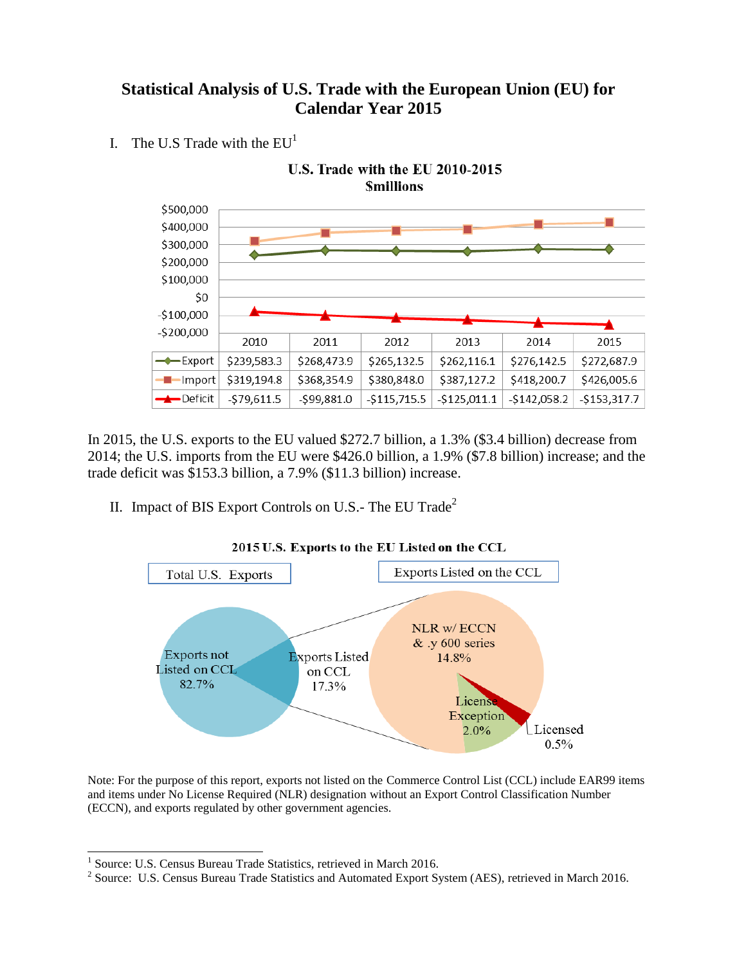## **Statistical Analysis of U.S. Trade with the European Union (EU) for Calendar Year 2015**

I. The U.S Trade with the  $EU<sup>1</sup>$ 



In 2015, the U.S. exports to the EU valued \$272.7 billion, a 1.3% (\$3.4 billion) decrease from 2014; the U.S. imports from the EU were \$426.0 billion, a 1.9% (\$7.8 billion) increase; and the trade deficit was \$153.3 billion, a 7.9% (\$11.3 billion) increase.

II. Impact of BIS Export Controls on U.S.- The EU Trade<sup>2</sup>



2015 U.S. Exports to the EU Listed on the CCL

Note: For the purpose of this report, exports not listed on the Commerce Control List (CCL) include EAR99 items and items under No License Required (NLR) designation without an Export Control Classification Number (ECCN), and exports regulated by other government agencies.

 1 Source: U.S. Census Bureau Trade Statistics, retrieved in March 2016.

<sup>&</sup>lt;sup>2</sup> Source: U.S. Census Bureau Trade Statistics and Automated Export System (AES), retrieved in March 2016.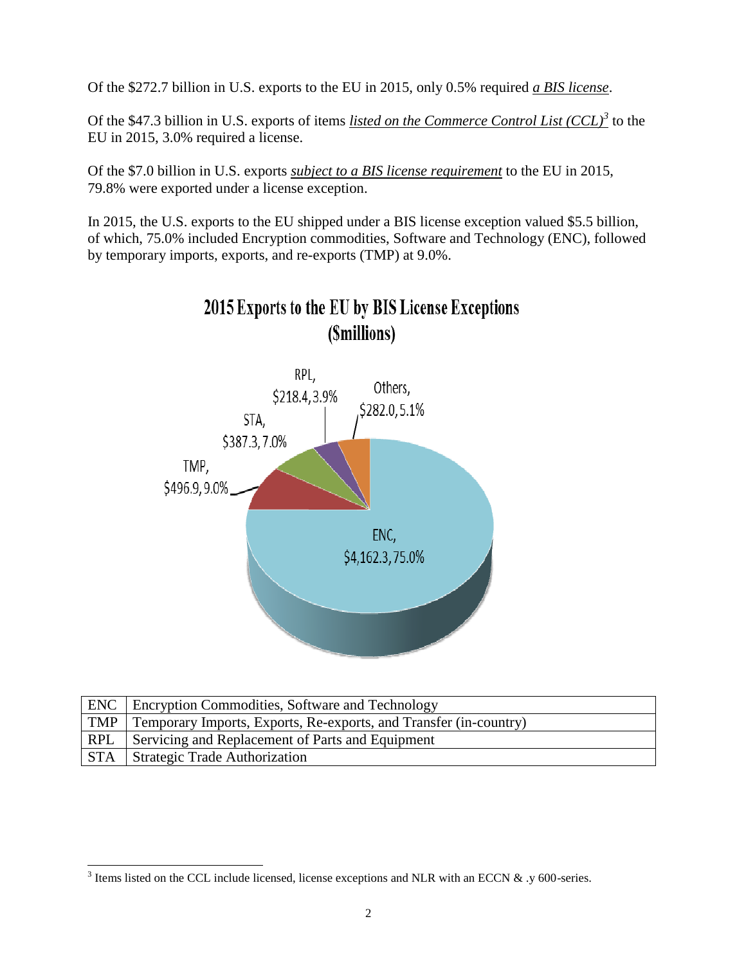Of the \$272.7 billion in U.S. exports to the EU in 2015, only 0.5% required *a BIS license*.

Of the \$47.3 billion in U.S. exports of items *listed on the Commerce Control List (CCL)<sup>3</sup>* to the EU in 2015, 3.0% required a license.

Of the \$7.0 billion in U.S. exports *subject to a BIS license requirement* to the EU in 2015, 79.8% were exported under a license exception.

In 2015, the U.S. exports to the EU shipped under a BIS license exception valued \$5.5 billion, of which, 75.0% included Encryption commodities, Software and Technology (ENC), followed by temporary imports, exports, and re-exports (TMP) at 9.0%.



2015 Exports to the EU by BIS License Exceptions

|     | <b>ENC</b> Encryption Commodities, Software and Technology                   |
|-----|------------------------------------------------------------------------------|
|     | $\top$ TMP Temporary Imports, Exports, Re-exports, and Transfer (in-country) |
| RPL | Servicing and Replacement of Parts and Equipment                             |
|     | <b>STA</b> Strategic Trade Authorization                                     |

<sup>&</sup>lt;sup>3</sup> Items listed on the CCL include licensed, license exceptions and NLR with an ECCN & .y 600-series.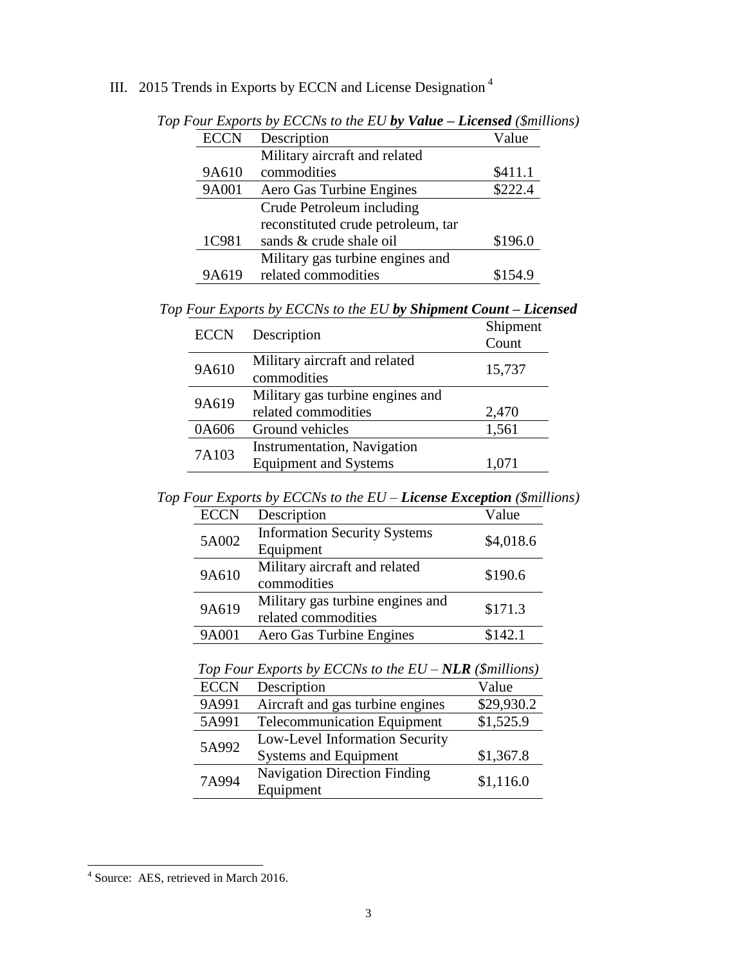|  |  |  |  | III. 2015 Trends in Exports by ECCN and License Designation <sup>4</sup> |  |
|--|--|--|--|--------------------------------------------------------------------------|--|
|  |  |  |  |                                                                          |  |

|             | om Exports by ECCIVS to the EC by value | $\mu$   |
|-------------|-----------------------------------------|---------|
| <b>ECCN</b> | Description                             | Value   |
|             | Military aircraft and related           |         |
| 9A610       | commodities                             | \$411.1 |
| 9A001       | Aero Gas Turbine Engines                | \$222.4 |
|             | Crude Petroleum including               |         |
|             | reconstituted crude petroleum, tar      |         |
| 1C981       | sands & crude shale oil                 | \$196.0 |
|             | Military gas turbine engines and        |         |
| 9A619       | related commodities                     | \$154.9 |

*Top Four Exports by ECCNs to the EU by Value – Licensed (\$millions)*

| Top Four Exports by ECCNs to the EU by Shipment Count - Licensed |  |  |  |  |  |  |  |
|------------------------------------------------------------------|--|--|--|--|--|--|--|
|------------------------------------------------------------------|--|--|--|--|--|--|--|

| <b>ECCN</b> | Description                                                         | Shipment<br>Count |
|-------------|---------------------------------------------------------------------|-------------------|
| 9A610       | Military aircraft and related<br>commodities                        | 15,737            |
| 9A619       | Military gas turbine engines and<br>related commodities             | 2,470             |
| 0A606       | Ground vehicles                                                     | 1,561             |
| 7A103       | <b>Instrumentation</b> , Navigation<br><b>Equipment and Systems</b> | 1,071             |

*Top Four Exports by ECCNs to the EU – License Exception (\$millions)*

| <b>ECCN</b> | Description                         | Value     |  |
|-------------|-------------------------------------|-----------|--|
| 5A002       | <b>Information Security Systems</b> | \$4,018.6 |  |
|             | Equipment                           |           |  |
| 9A610       | Military aircraft and related       | \$190.6   |  |
|             | commodities                         |           |  |
| 9A619       | Military gas turbine engines and    | \$171.3   |  |
|             | related commodities                 |           |  |
| 9A001       | Aero Gas Turbine Engines            | \$142.1   |  |
|             |                                     |           |  |

| <b>ECCN</b> | Description                         | Value      |
|-------------|-------------------------------------|------------|
| 9A991       | Aircraft and gas turbine engines    | \$29,930.2 |
| 5A991       | <b>Telecommunication Equipment</b>  | \$1,525.9  |
| 5A992       | Low-Level Information Security      |            |
|             | <b>Systems and Equipment</b>        | \$1,367.8  |
| 7A994       | <b>Navigation Direction Finding</b> | \$1,116.0  |
|             | Equipment                           |            |
|             |                                     |            |

*Top Four Exports by ECCNs to the EU – NLR (\$millions)*

 4 Source: AES, retrieved in March 2016.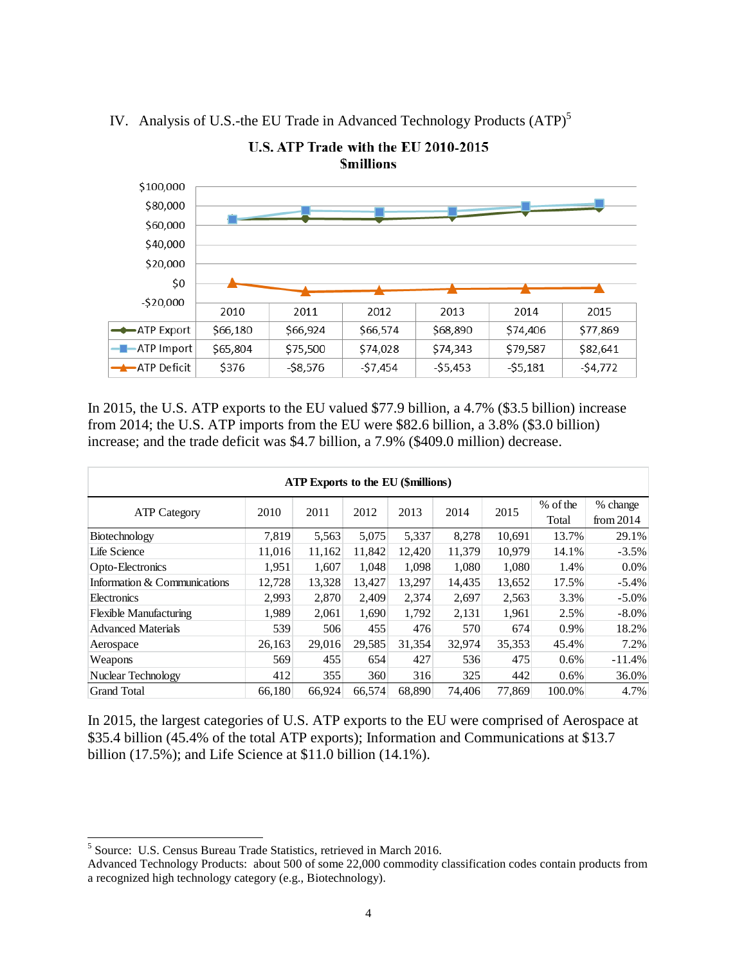

IV. Analysis of U.S.-the EU Trade in Advanced Technology Products (ATP)<sup>5</sup>

In 2015, the U.S. ATP exports to the EU valued \$77.9 billion, a 4.7% (\$3.5 billion) increase from 2014; the U.S. ATP imports from the EU were \$82.6 billion, a 3.8% (\$3.0 billion) increase; and the trade deficit was \$4.7 billion, a 7.9% (\$409.0 million) decrease.

| <b>ATP Exports to the EU (\$millions)</b> |        |        |        |        |        |        |                   |                         |  |  |
|-------------------------------------------|--------|--------|--------|--------|--------|--------|-------------------|-------------------------|--|--|
| <b>ATP Category</b>                       | 2010   | 2011   | 2012   | 2013   | 2014   | 2015   | % of the<br>Total | % change<br>from $2014$ |  |  |
| Biotechnology                             | 7,819  | 5,563  | 5,075  | 5,337  | 8,278  | 10,691 | 13.7%             | 29.1%                   |  |  |
| Life Science                              | 11,016 | 11,162 | 11.842 | 12,420 | 11,379 | 10,979 | 14.1%             | $-3.5%$                 |  |  |
| Opto-Electronics                          | 1,951  | 1.607  | 1.048  | 1,098  | 1.080  | 1,080  | 1.4%              | $0.0\%$                 |  |  |
| Information & Communications              | 12,728 | 13,328 | 13,427 | 13,297 | 14,435 | 13,652 | 17.5%             | $-5.4%$                 |  |  |
| Electronics                               | 2,993  | 2,870  | 2.409  | 2,374  | 2,697  | 2,563  | 3.3%              | $-5.0\%$                |  |  |
| <b>Flexible Manufacturing</b>             | 1,989  | 2,061  | 1,690  | 1,792  | 2,131  | 1,961  | 2.5%              | $-8.0\%$                |  |  |
| <b>Advanced Materials</b>                 | 539    | 506    | 455    | 476    | 570    | 674    | 0.9%              | 18.2%                   |  |  |
| Aerospace                                 | 26,163 | 29,016 | 29,585 | 31,354 | 32,974 | 35,353 | 45.4%             | 7.2%                    |  |  |
| Weapons                                   | 569    | 455    | 654    | 427    | 536    | 475    | 0.6%              | $-11.4%$                |  |  |
| Nuclear Technology                        | 412    | 355    | 360    | 316    | 325    | 442    | 0.6%              | 36.0%                   |  |  |
| <b>Grand Total</b>                        | 66,180 | 66,924 | 66,574 | 68,890 | 74,406 | 77,869 | 100.0%            | 4.7%                    |  |  |

In 2015, the largest categories of U.S. ATP exports to the EU were comprised of Aerospace at \$35.4 billion (45.4% of the total ATP exports); Information and Communications at \$13.7 billion (17.5%); and Life Science at \$11.0 billion (14.1%).

 $\overline{\phantom{a}}$ 

<sup>&</sup>lt;sup>5</sup> Source: U.S. Census Bureau Trade Statistics, retrieved in March 2016.

Advanced Technology Products: about 500 of some 22,000 commodity classification codes contain products from a recognized high technology category (e.g., Biotechnology).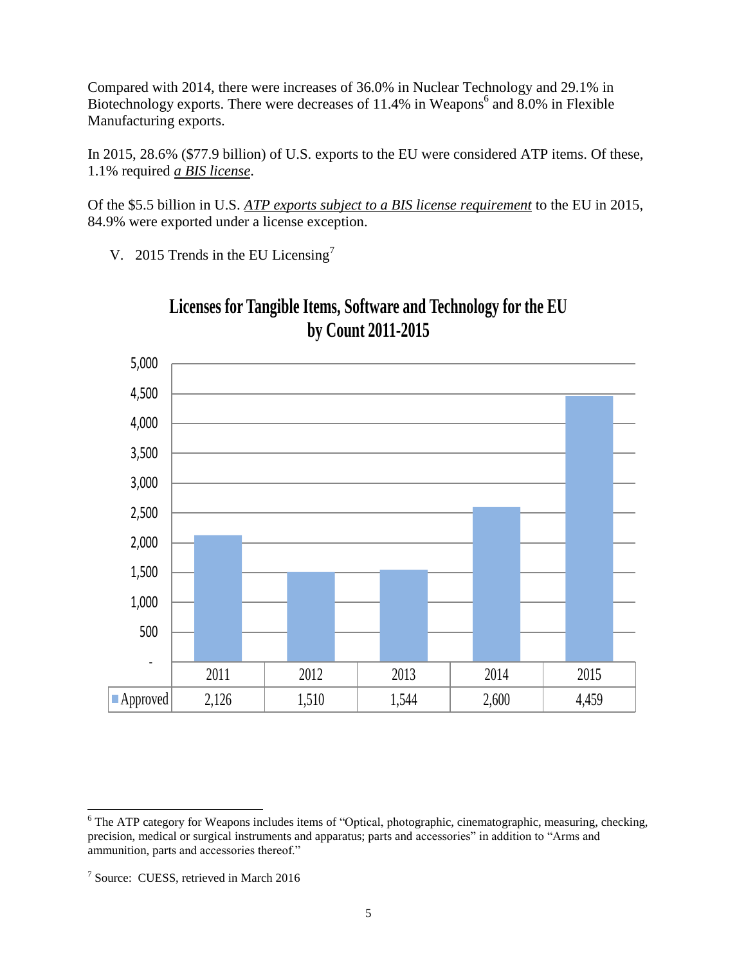Compared with 2014, there were increases of 36.0% in Nuclear Technology and 29.1% in Biotechnology exports. There were decreases of  $11.4\%$  in Weapons<sup>6</sup> and 8.0% in Flexible Manufacturing exports.

In 2015, 28.6% (\$77.9 billion) of U.S. exports to the EU were considered ATP items. Of these, 1.1% required *a BIS license*.

Of the \$5.5 billion in U.S. *ATP exports subject to a BIS license requirement* to the EU in 2015, 84.9% were exported under a license exception.

V. 2015 Trends in the EU Licensing<sup>7</sup>



## **Licenses for Tangible Items, Software and Technology for the EU by Count 2011-2015**

 $\overline{a}$ <sup>6</sup> The ATP category for Weapons includes items of "Optical, photographic, cinematographic, measuring, checking, precision, medical or surgical instruments and apparatus; parts and accessories" in addition to "Arms and ammunition, parts and accessories thereof."

<sup>&</sup>lt;sup>7</sup> Source: CUESS, retrieved in March 2016